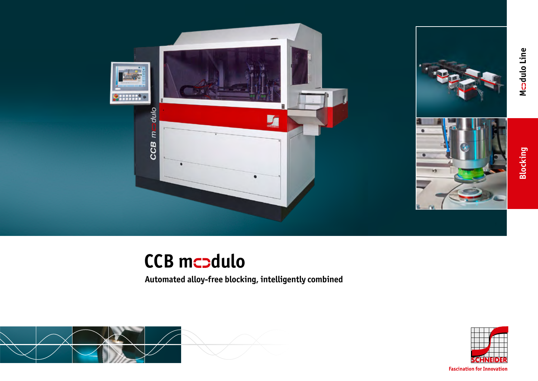



# **Blocking**

Mcadulo Line **dulo Line**

# **CCB mcodulo**

**Automated alloy-free blocking, intelligently combined**





**Fascination for Innovation**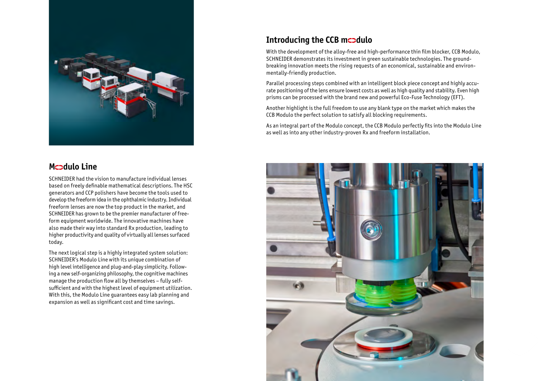

## **Mcodulo Line**

SCHNEIDER had the vision to manufacture individual lenses based on freely definable mathematical descriptions. The HSC generators and CCP polishers have become the tools used to develop the freeform idea in the ophthalmic industry. Individual freeform lenses are now the top product in the market, and SCHNEIDER has grown to be the premier manufacturer of freeform equipment worldwide. The innovative machines have also made their way into standard Rx production, leading to higher productivity and quality of virtually all lenses surfaced today.

The next logical step is a highly integrated system solution: SCHNEIDER's Modulo Line with its unique combination of high level intelligence and plug-and-play simplicity. Following a new self-organizing philosophy, the cognitive machines manage the production flow all by themselves – fully selfsufficient and with the highest level of equipment utilization. With this, the Modulo Line guarantees easy lab planning and expansion as well as significant cost and time savings.

# **Introducing the CCB mcodulo**

With the development of the alloy-free and high-performance thin film blocker, CCB Modulo, SCHNEIDER demonstrates its investment in green sustainable technologies. The groundbreaking innovation meets the rising requests of an economical, sustainable and environmentally-friendly production.

Parallel processing steps combined with an intelligent block piece concept and highly accurate positioning of the lens ensure lowest costs as well as high quality and stability. Even high prisms can be processed with the brand new and powerful Eco-Fuse Technology (EFT).

Another highlight is the full freedom to use any blank type on the market which makes the CCB Modulo the perfect solution to satisfy all blocking requirements.

As an integral part of the Modulo concept, the CCB Modulo perfectly fits into the Modulo Line as well as into any other industry-proven Rx and freeform installation.

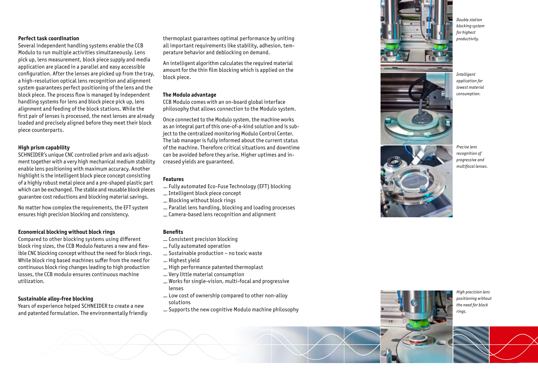#### **Perfect task coordination**

Several independent handling systems enable the CCB Modulo to run multiple activities simultaneously. Lens pick up, lens measurement, block piece supply and media application are placed in a parallel and easy accessible configuration. After the lenses are picked up from the tray, a high-resolution optical lens recognition and alignment system guarantees perfect positioning of the lens and the block piece. The process flow is managed by independent handling systems for lens and block piece pick up, lens alignment and feeding of the block stations. While the first pair of lenses is processed, the next lenses are already loaded and precisely aligned before they meet their block piece counterparts.

#### **High prism capability**

SCHNEIDER's unique CNC controlled prism and axis adjustment together with a very high mechanical medium stability enable lens positioning with maximum accuracy. Another highlight is the intelligent block piece concept consisting of a highly robust metal piece and a pre-shaped plastic part which can be exchanged. The stable and reusable block pieces guarantee cost reductions and blocking material savings.

No matter how complex the requirements, the EFT system ensures high precision blocking and consistency.

#### **Economical blocking without block rings**

Compared to other blocking systems using different block ring sizes, the CCB Modulo features a new and flex ible CNC blocking concept without the need for block rings. While block ring based machines suffer from the need for continuous block ring changes leading to high production losses, the CCB modulo ensures continuous machine utilization.

#### **Sustainable alloy-free blocking**

Years of experience helped SCHNEIDER to create a new and patented formulation. The environmentally friendly thermoplast guarantees optimal performance by uniting all important requirements like stability, adhesion, tem perature behavior and deblocking on demand.

An intelligent algorithm calculates the required material amount for the thin film blocking which is applied on the block piece.

#### **The Modulo advantage**

CCB Modulo comes with an on-board global interface philosophy that allows connection to the Modulo system.

Once connected to the Modulo system, the machine works as an integral part of this one-of-a-kind solution and is sub ject to the centralized monitoring Modulo Control Center. The lab manager is fully informed about the current status of the machine. Therefore critical situations and downtime can be avoided before they arise. Higher uptimes and in creased yields are guaranteed.

#### **Features**

- Fully automated Eco-Fuse Technology (EFT) blocking
- Intelligent block piece concept
- Blocking without block rings
- Parallel lens handling, blocking and loading processes
- Camera-based lens recognition and alignment

#### **Benefits**

- Consistent precision blocking
- Fully automated operation
- Sustainable production no toxic waste
- $-$  Highest vield
- High performance patented thermoplast
- Very little material consumption
- Works for single-vision, multi-focal and progressive lenses
- Low cost of ownership compared to other non-alloy solutions
- Supports the new cognitive Modulo machine philosophy



*Double station blocking system for highest productivity.*



*Intelligent application for lowest material consumption.*



*Precise lens recognition of progressive and multifocal lenses.* 

*High precision lens positioning without the need for block rings.*